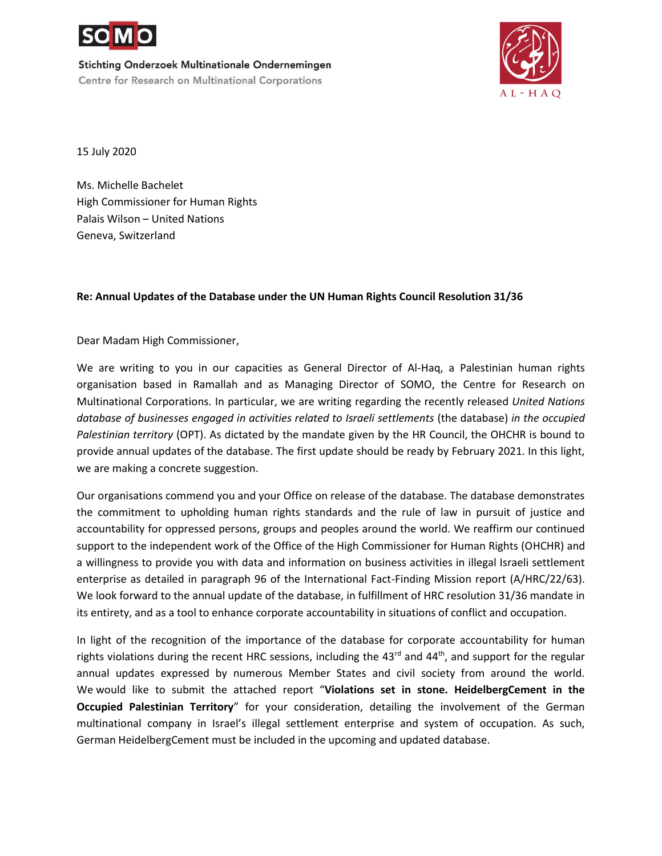

Stichting Onderzoek Multinationale Ondernemingen Centre for Research on Multinational Corporations



15 July 2020

Ms. Michelle Bachelet High Commissioner for Human Rights Palais Wilson – United Nations Geneva, Switzerland

## **Re: Annual Updates of the Database under the UN Human Rights Council Resolution 31/36**

Dear Madam High Commissioner,

We are writing to you in our capacities as General Director of Al-Haq, a Palestinian human rights organisation based in Ramallah and as Managing Director of SOMO, the Centre for Research on Multinational Corporations. In particular, we are writing regarding the recently released *United Nations database of businesses engaged in activities related to Israeli settlements* (the database) *in the occupied Palestinian territory* (OPT). As dictated by the mandate given by the HR Council, the OHCHR is bound to provide annual updates of the database. The first update should be ready by February 2021. In this light, we are making a concrete suggestion.

Our organisations commend you and your Office on release of the database. The database demonstrates the commitment to upholding human rights standards and the rule of law in pursuit of justice and accountability for oppressed persons, groups and peoples around the world. We reaffirm our continued support to the independent work of the Office of the High Commissioner for Human Rights (OHCHR) and a willingness to provide you with data and information on business activities in illegal Israeli settlement enterprise as detailed in paragraph 96 of the International Fact-Finding Mission report (A/HRC/22/63). We look forward to the annual update of the database, in fulfillment of HRC resolution 31/36 mandate in its entirety, and as a tool to enhance corporate accountability in situations of conflict and occupation.

In light of the recognition of the importance of the database for corporate accountability for human rights violations during the recent HRC sessions, including the  $43^{\text{rd}}$  and  $44^{\text{th}}$ , and support for the regular annual updates expressed by numerous Member States and civil society from around the world. We would like to submit the attached report "**Violations set in stone. HeidelbergCement in the Occupied Palestinian Territory**" for your consideration, detailing the involvement of the German multinational company in Israel's illegal settlement enterprise and system of occupation. As such, German HeidelbergCement must be included in the upcoming and updated database.